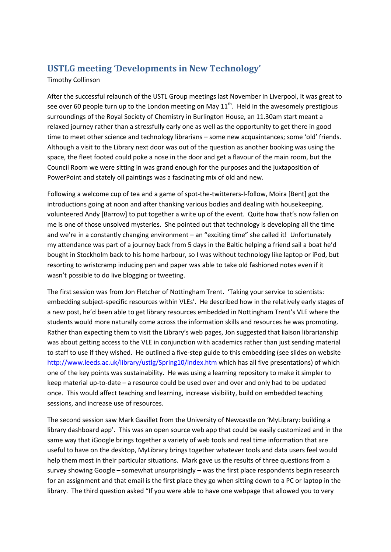## **USTLG meeting 'Developments in New Technology'**

## Timothy Collinson

After the successful relaunch of the USTL Group meetings last November in Liverpool, it was great to see over 60 people turn up to the London meeting on May  $11<sup>th</sup>$ . Held in the awesomely prestigious surroundings of the Royal Society of Chemistry in Burlington House, an 11.30am start meant a relaxed journey rather than a stressfully early one as well as the opportunity to get there in good time to meet other science and technology librarians – some new acquaintances; some 'old' friends. Although a visit to the Library next door was out of the question as another booking was using the space, the fleet footed could poke a nose in the door and get a flavour of the main room, but the Council Room we were sitting in was grand enough for the purposes and the juxtaposition of PowerPoint and stately oil paintings was a fascinating mix of old and new.

Following a welcome cup of tea and a game of spot-the-twitterers-I-follow, Moira [Bent] got the introductions going at noon and after thanking various bodies and dealing with housekeeping, volunteered Andy [Barrow] to put together a write up of the event. Quite how that's now fallen on me is one of those unsolved mysteries. She pointed out that technology is developing all the time and we're in a constantly changing environment – an "exciting time" she called it! Unfortunately my attendance was part of a journey back from 5 days in the Baltic helping a friend sail a boat he'd bought in Stockholm back to his home harbour, so I was without technology like laptop or iPod, but resorting to wristcramp inducing pen and paper was able to take old fashioned notes even if it wasn't possible to do live blogging or tweeting.

The first session was from Jon Fletcher of Nottingham Trent. 'Taking your service to scientists: embedding subject-specific resources within VLEs'. He described how in the relatively early stages of a new post, he'd been able to get library resources embedded in Nottingham Trent's VLE where the students would more naturally come across the information skills and resources he was promoting. Rather than expecting them to visit the Library's web pages, Jon suggested that liaison librarianship was about getting access to the VLE in conjunction with academics rather than just sending material to staff to use if they wished. He outlined a five-step guide to this embedding (see slides on website <http://www.leeds.ac.uk/library/ustlg/Spring10/index.htm> which has all five presentations) of which one of the key points was sustainability. He was using a learning repository to make it simpler to keep material up-to-date – a resource could be used over and over and only had to be updated once. This would affect teaching and learning, increase visibility, build on embedded teaching sessions, and increase use of resources.

The second session saw Mark Gavillet from the University of Newcastle on 'MyLibrary: building a library dashboard app'. This was an open source web app that could be easily customized and in the same way that iGoogle brings together a variety of web tools and real time information that are useful to have on the desktop, MyLibrary brings together whatever tools and data users feel would help them most in their particular situations. Mark gave us the results of three questions from a survey showing Google – somewhat unsurprisingly – was the first place respondents begin research for an assignment and that email is the first place they go when sitting down to a PC or laptop in the library. The third question asked "If you were able to have one webpage that allowed you to very